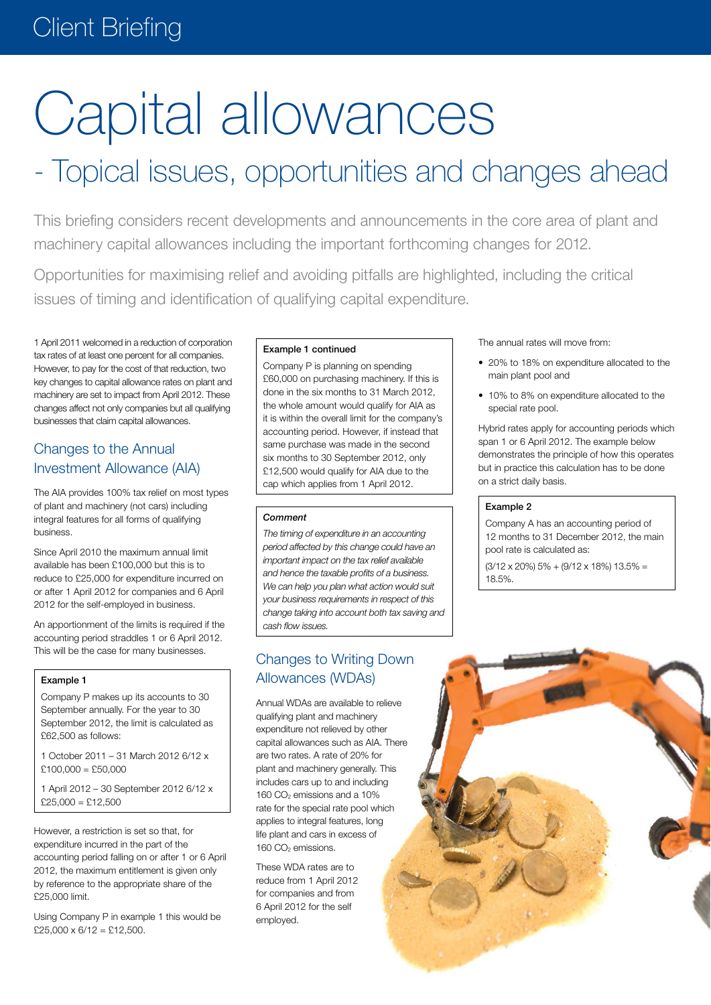# Client Briefing

# Capital allowances

# - Topical issues, opportunities and changes ahead

This briefing considers recent developments and announcements in the core area of plant and machinery capital allowances including the important forthcoming changes for 2012.

Opportunities for maximising relief and avoiding pitfalls are highlighted, including the critical issues of timing and identification of qualifying capital expenditure.

1 April 2011 welcomed in a reduction of corporation tax rates of at least one percent for all companies. However, to pay for the cost of that reduction, two key changes to capital allowance rates on plant and machinery are set to impact from April 2012. These changes affect not only companies but all qualifying businesses that claim capital allowances.

# Changes to the Annual Investment Allowance (AIA)

The AIA provides 100% tax relief on most types of plant and machinery (not cars) including integral features for all forms of qualifying business.

Since April 2010 the maximum annual limit available has been £100,000 but this is to reduce to £25,000 for expenditure incurred on or after 1 April 2012 for companies and 6 April 2012 for the self-employed in business.

An apportionment of the limits is required if the accounting period straddles 1 or 6 April 2012. This will be the case for many businesses.

#### Example 1

Company P makes up its accounts to 30 September annually. For the year to 30 September 2012, the limit is calculated as £62,500 as follows:

1 October 2011 – 31 March 2012 6/12 x  $$100,000 = $50,000$ 

1 April 2012 – 30 September 2012 6/12 x  $$25,000 = $12,500$ 

However, a restriction is set so that, for expenditure incurred in the part of the accounting period falling on or after 1 or 6 April 2012, the maximum entitlement is given only by reference to the appropriate share of the £25,000 limit.

Using Company P in example 1 this would be  $£25,000 \times 6/12 = £12,500.$ 

#### Example 1 continued

Company P is planning on spending £60,000 on purchasing machinery. If this is done in the six months to 31 March 2012, the whole amount would qualify for AIA as it is within the overall limit for the company's accounting period. However, if instead that same purchase was made in the second six months to 30 September 2012, only £12,500 would qualify for AIA due to the cap which applies from 1 April 2012.

#### *Comment*

*The timing of expenditure in an accounting period affected by this change could have an important impact on the tax relief available and hence the taxable profits of a business. We can help you plan what action would suit your business requirements in respect of this change taking into account both tax saving and cash flow issues.*

# Changes to Writing Down Allowances (WDAs)

Annual WDAs are available to relieve qualifying plant and machinery expenditure not relieved by other capital allowances such as AIA. There are two rates. A rate of 20% for plant and machinery generally. This includes cars up to and including 160 CO<sub>2</sub> emissions and a 10% rate for the special rate pool which applies to integral features, long life plant and cars in excess of 160 CO<sub>2</sub> emissions.

These WDA rates are to reduce from 1 April 2012 for companies and from 6 April 2012 for the self employed.

The annual rates will move from:

- 20% to 18% on expenditure allocated to the main plant pool and
- 10% to 8% on expenditure allocated to the special rate pool.

Hybrid rates apply for accounting periods which span 1 or 6 April 2012. The example below demonstrates the principle of how this operates but in practice this calculation has to be done on a strict daily basis.

#### Example 2

Company A has an accounting period of 12 months to 31 December 2012, the main pool rate is calculated as:

 $(3/12 \times 20\%)$  5% +  $(9/12 \times 18\%)$  13.5% = 18.5%.